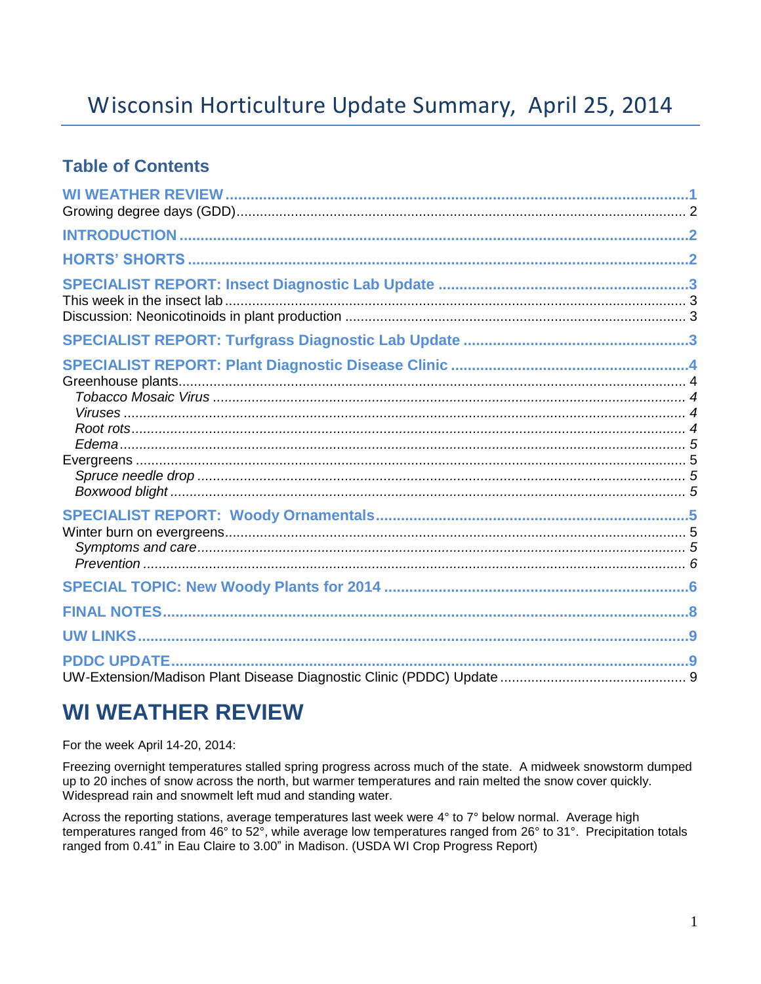# Wisconsin Horticulture Update Summary, April 25, 2014

### **Table of Contents**

| <b>PDDC UPDATE</b> |  |
|--------------------|--|

## **WI WEATHER REVIEW**

For the week April 14-20, 2014:

Freezing overnight temperatures stalled spring progress across much of the state. A midweek snowstorm dumped up to 20 inches of snow across the north, but warmer temperatures and rain melted the snow cover quickly. Widespread rain and snowmelt left mud and standing water.

Across the reporting stations, average temperatures last week were 4° to 7° below normal. Average high temperatures ranged from 46° to 52°, while average low temperatures ranged from 26° to 31°. Precipitation totals ranged from 0.41" in Eau Claire to 3.00" in Madison. (USDA WI Crop Progress Report)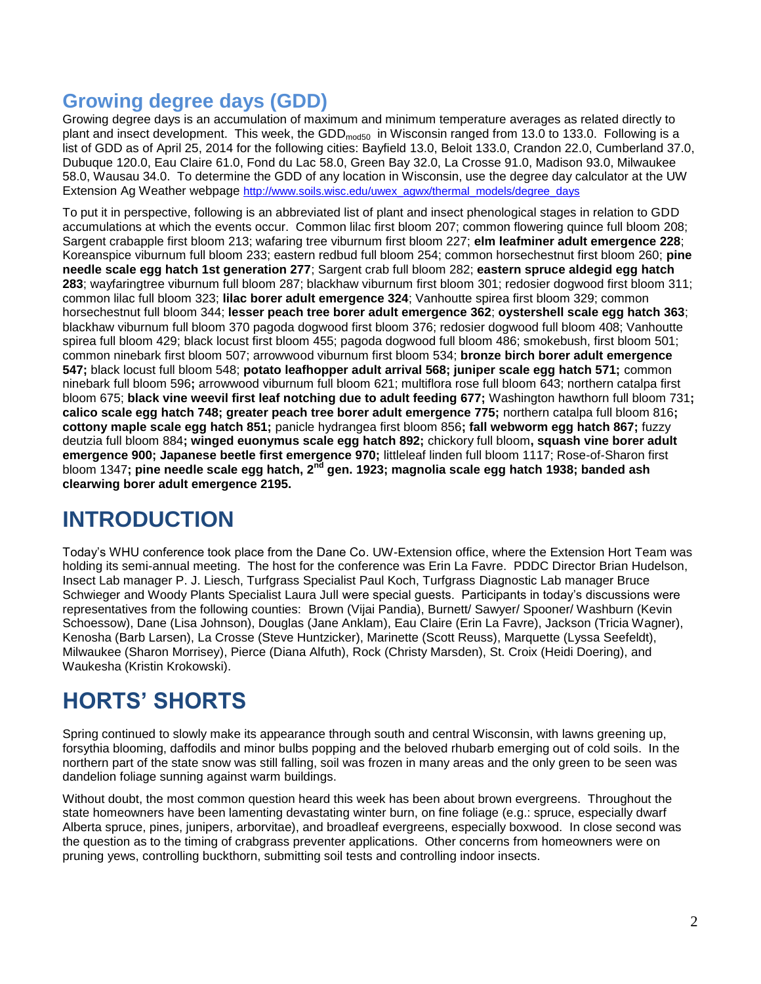## **Growing degree days (GDD)**

Growing degree days is an accumulation of maximum and minimum temperature averages as related directly to plant and insect development. This week, the GDD<sub>mod50</sub> in Wisconsin ranged from 13.0 to 133.0. Following is a list of GDD as of April 25, 2014 for the following cities: Bayfield 13.0, Beloit 133.0, Crandon 22.0, Cumberland 37.0, Dubuque 120.0, Eau Claire 61.0, Fond du Lac 58.0, Green Bay 32.0, La Crosse 91.0, Madison 93.0, Milwaukee 58.0, Wausau 34.0. To determine the GDD of any location in Wisconsin, use the degree day calculator at the UW Extension Ag Weather webpage [http://www.soils.wisc.edu/uwex\\_agwx/thermal\\_models/degree\\_days](http://www.soils.wisc.edu/uwex_agwx/thermal_models/degree_days)

To put it in perspective, following is an abbreviated list of plant and insect phenological stages in relation to GDD accumulations at which the events occur. Common lilac first bloom 207; common flowering quince full bloom 208; Sargent crabapple first bloom 213; wafaring tree viburnum first bloom 227; **elm leafminer adult emergence 228**; Koreanspice viburnum full bloom 233; eastern redbud full bloom 254; common horsechestnut first bloom 260; **pine needle scale egg hatch 1st generation 277**; Sargent crab full bloom 282; **eastern spruce aldegid egg hatch 283**; wayfaringtree viburnum full bloom 287; blackhaw viburnum first bloom 301; redosier dogwood first bloom 311; common lilac full bloom 323; **lilac borer adult emergence 324**; Vanhoutte spirea first bloom 329; common horsechestnut full bloom 344; **lesser peach tree borer adult emergence 362**; **oystershell scale egg hatch 363**; blackhaw viburnum full bloom 370 pagoda dogwood first bloom 376; redosier dogwood full bloom 408; Vanhoutte spirea full bloom 429; black locust first bloom 455; pagoda dogwood full bloom 486; smokebush, first bloom 501; common ninebark first bloom 507; arrowwood viburnum first bloom 534; **bronze birch borer adult emergence 547;** black locust full bloom 548; **potato leafhopper adult arrival 568; juniper scale egg hatch 571;** common ninebark full bloom 596**;** arrowwood viburnum full bloom 621; multiflora rose full bloom 643; northern catalpa first bloom 675; **black vine weevil first leaf notching due to adult feeding 677;** Washington hawthorn full bloom 731**; calico scale egg hatch 748; greater peach tree borer adult emergence 775;** northern catalpa full bloom 816**; cottony maple scale egg hatch 851;** panicle hydrangea first bloom 856**; fall webworm egg hatch 867;** fuzzy deutzia full bloom 884**; winged euonymus scale egg hatch 892;** chickory full bloom**, squash vine borer adult emergence 900; Japanese beetle first emergence 970;** littleleaf linden full bloom 1117; Rose-of-Sharon first bloom 1347**; pine needle scale egg hatch, 2nd gen. 1923; magnolia scale egg hatch 1938; banded ash clearwing borer adult emergence 2195.**

# **INTRODUCTION**

Today's WHU conference took place from the Dane Co. UW-Extension office, where the Extension Hort Team was holding its semi-annual meeting. The host for the conference was Erin La Favre. PDDC Director Brian Hudelson, Insect Lab manager P. J. Liesch, Turfgrass Specialist Paul Koch, Turfgrass Diagnostic Lab manager Bruce Schwieger and Woody Plants Specialist Laura Jull were special guests. Participants in today's discussions were representatives from the following counties: Brown (Vijai Pandia), Burnett/ Sawyer/ Spooner/ Washburn (Kevin Schoessow), Dane (Lisa Johnson), Douglas (Jane Anklam), Eau Claire (Erin La Favre), Jackson (Tricia Wagner), Kenosha (Barb Larsen), La Crosse (Steve Huntzicker), Marinette (Scott Reuss), Marquette (Lyssa Seefeldt), Milwaukee (Sharon Morrisey), Pierce (Diana Alfuth), Rock (Christy Marsden), St. Croix (Heidi Doering), and Waukesha (Kristin Krokowski).

# **HORTS' SHORTS**

Spring continued to slowly make its appearance through south and central Wisconsin, with lawns greening up, forsythia blooming, daffodils and minor bulbs popping and the beloved rhubarb emerging out of cold soils. In the northern part of the state snow was still falling, soil was frozen in many areas and the only green to be seen was dandelion foliage sunning against warm buildings.

Without doubt, the most common question heard this week has been about brown evergreens. Throughout the state homeowners have been lamenting devastating winter burn, on fine foliage (e.g.: spruce, especially dwarf Alberta spruce, pines, junipers, arborvitae), and broadleaf evergreens, especially boxwood. In close second was the question as to the timing of crabgrass preventer applications. Other concerns from homeowners were on pruning yews, controlling buckthorn, submitting soil tests and controlling indoor insects.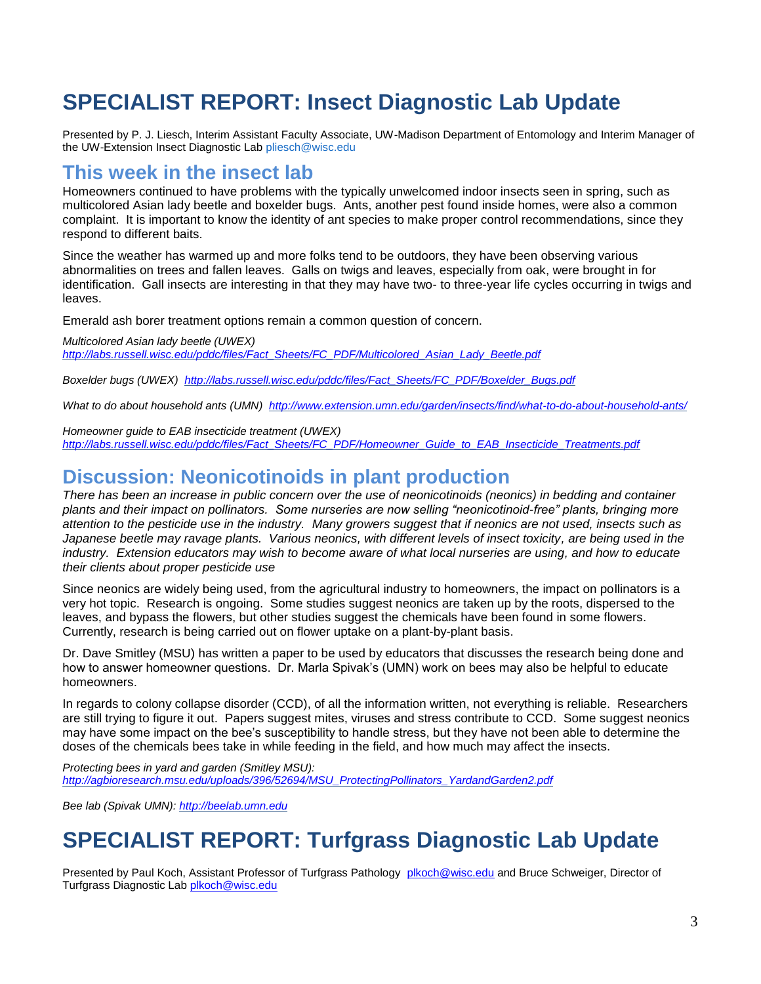# **SPECIALIST REPORT: Insect Diagnostic Lab Update**

Presented by P. J. Liesch, Interim Assistant Faculty Associate, UW-Madison Department of Entomology and Interim Manager of the UW-Extension Insect Diagnostic Lab [pliesch@wisc.edu](mailto:pliesch@wisc.edu)

## **This week in the insect lab**

Homeowners continued to have problems with the typically unwelcomed indoor insects seen in spring, such as multicolored Asian lady beetle and boxelder bugs. Ants, another pest found inside homes, were also a common complaint. It is important to know the identity of ant species to make proper control recommendations, since they respond to different baits.

Since the weather has warmed up and more folks tend to be outdoors, they have been observing various abnormalities on trees and fallen leaves. Galls on twigs and leaves, especially from oak, were brought in for identification. Gall insects are interesting in that they may have two- to three-year life cycles occurring in twigs and leaves.

Emerald ash borer treatment options remain a common question of concern.

*Multicolored Asian lady beetle (UWEX) [http://labs.russell.wisc.edu/pddc/files/Fact\\_Sheets/FC\\_PDF/Multicolored\\_Asian\\_Lady\\_Beetle.pdf](http://labs.russell.wisc.edu/pddc/files/Fact_Sheets/FC_PDF/Multicolored_Asian_Lady_Beetle.pdf)*

*Boxelder bugs (UWEX) [http://labs.russell.wisc.edu/pddc/files/Fact\\_Sheets/FC\\_PDF/Boxelder\\_Bugs.pdf](http://labs.russell.wisc.edu/pddc/files/Fact_Sheets/FC_PDF/Boxelder_Bugs.pdf)*

*What to do about household ants (UMN) <http://www.extension.umn.edu/garden/insects/find/what-to-do-about-household-ants/>*

*Homeowner guide to EAB insecticide treatment (UWEX) [http://labs.russell.wisc.edu/pddc/files/Fact\\_Sheets/FC\\_PDF/Homeowner\\_Guide\\_to\\_EAB\\_Insecticide\\_Treatments.pdf](http://labs.russell.wisc.edu/pddc/files/Fact_Sheets/FC_PDF/Homeowner_Guide_to_EAB_Insecticide_Treatments.pdf)*

## **Discussion: Neonicotinoids in plant production**

*There has been an increase in public concern over the use of neonicotinoids (neonics) in bedding and container plants and their impact on pollinators. Some nurseries are now selling "neonicotinoid-free" plants, bringing more attention to the pesticide use in the industry. Many growers suggest that if neonics are not used, insects such as Japanese beetle may ravage plants. Various neonics, with different levels of insect toxicity, are being used in the industry. Extension educators may wish to become aware of what local nurseries are using, and how to educate their clients about proper pesticide use*

Since neonics are widely being used, from the agricultural industry to homeowners, the impact on pollinators is a very hot topic. Research is ongoing. Some studies suggest neonics are taken up by the roots, dispersed to the leaves, and bypass the flowers, but other studies suggest the chemicals have been found in some flowers. Currently, research is being carried out on flower uptake on a plant-by-plant basis.

Dr. Dave Smitley (MSU) has written a paper to be used by educators that discusses the research being done and how to answer homeowner questions. Dr. Marla Spivak's (UMN) work on bees may also be helpful to educate homeowners.

In regards to colony collapse disorder (CCD), of all the information written, not everything is reliable. Researchers are still trying to figure it out. Papers suggest mites, viruses and stress contribute to CCD. Some suggest neonics may have some impact on the bee's susceptibility to handle stress, but they have not been able to determine the doses of the chemicals bees take in while feeding in the field, and how much may affect the insects.

*Protecting bees in yard and garden (Smitley MSU): [http://agbioresearch.msu.edu/uploads/396/52694/MSU\\_ProtectingPollinators\\_YardandGarden2.pdf](http://agbioresearch.msu.edu/uploads/396/52694/MSU_ProtectingPollinators_YardandGarden2.pdf)*

*Bee lab (Spivak UMN): [http://beelab.umn.edu](http://beelab.umn.edu/)*

# **SPECIALIST REPORT: Turfgrass Diagnostic Lab Update**

Presented by Paul Koch, Assistant Professor of Turfgrass Pathology [plkoch@wisc.edu](mailto:plkoch@wisc.edu) and Bruce Schweiger, Director of Turfgrass Diagnostic Lab [plkoch@wisc.edu](mailto:plkoch@wisc.edu)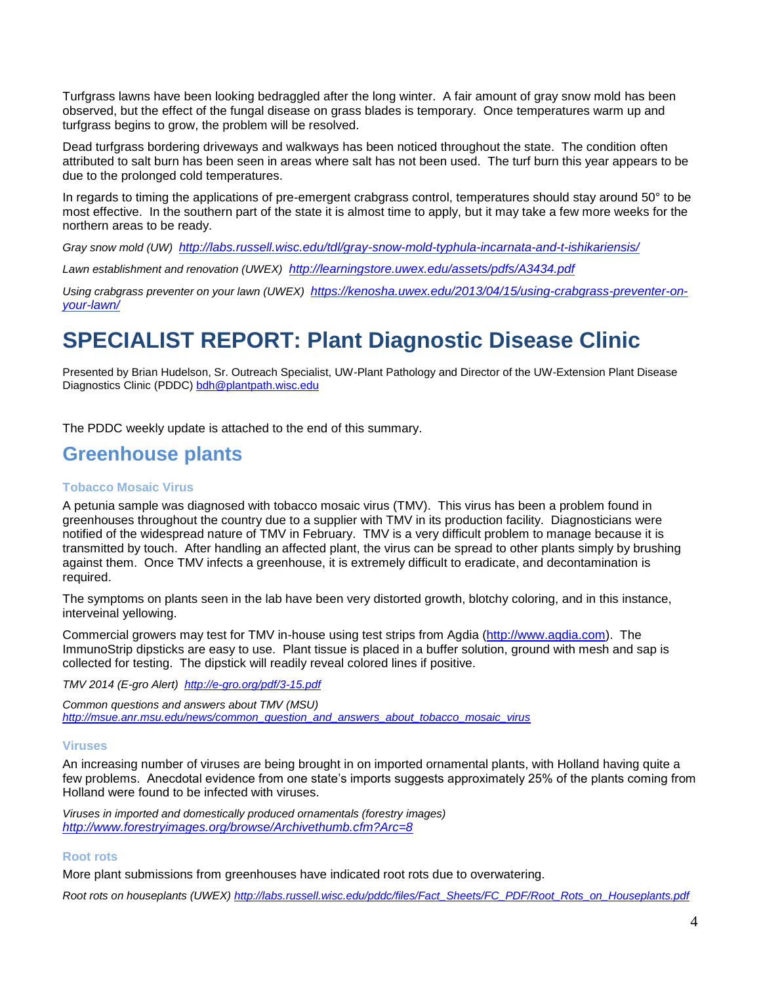Turfgrass lawns have been looking bedraggled after the long winter. A fair amount of gray snow mold has been observed, but the effect of the fungal disease on grass blades is temporary. Once temperatures warm up and turfgrass begins to grow, the problem will be resolved.

Dead turfgrass bordering driveways and walkways has been noticed throughout the state. The condition often attributed to salt burn has been seen in areas where salt has not been used. The turf burn this year appears to be due to the prolonged cold temperatures.

In regards to timing the applications of pre-emergent crabgrass control, temperatures should stay around 50° to be most effective. In the southern part of the state it is almost time to apply, but it may take a few more weeks for the northern areas to be ready.

*Gray snow mold (UW) <http://labs.russell.wisc.edu/tdl/gray-snow-mold-typhula-incarnata-and-t-ishikariensis/>*

*Lawn establishment and renovation (UWEX) <http://learningstore.uwex.edu/assets/pdfs/A3434.pdf>*

*Using crabgrass preventer on your lawn (UWEX) [https://kenosha.uwex.edu/2013/04/15/using-crabgrass-preventer-on](https://kenosha.uwex.edu/2013/04/15/using-crabgrass-preventer-on-your-lawn/)[your-lawn/](https://kenosha.uwex.edu/2013/04/15/using-crabgrass-preventer-on-your-lawn/)*

# **SPECIALIST REPORT: Plant Diagnostic Disease Clinic**

Presented by Brian Hudelson, Sr. Outreach Specialist, UW-Plant Pathology and Director of the UW-Extension Plant Disease Diagnostics Clinic (PDDC) [bdh@plantpath.wisc.edu](mailto:bdh@plantpath.wisc.edu)

The PDDC weekly update is attached to the end of this summary.

### **Greenhouse plants**

#### **Tobacco Mosaic Virus**

A petunia sample was diagnosed with tobacco mosaic virus (TMV). This virus has been a problem found in greenhouses throughout the country due to a supplier with TMV in its production facility. Diagnosticians were notified of the widespread nature of TMV in February. TMV is a very difficult problem to manage because it is transmitted by touch. After handling an affected plant, the virus can be spread to other plants simply by brushing against them. Once TMV infects a greenhouse, it is extremely difficult to eradicate, and decontamination is required.

The symptoms on plants seen in the lab have been very distorted growth, blotchy coloring, and in this instance, interveinal yellowing.

Commercial growers may test for TMV in-house using test strips from Agdia [\(http://www.agdia.com\)](http://www.agdia.com/). The ImmunoStrip dipsticks are easy to use. Plant tissue is placed in a buffer solution, ground with mesh and sap is collected for testing. The dipstick will readily reveal colored lines if positive.

*TMV 2014 (E-gro Alert) <http://e-gro.org/pdf/3-15.pdf>*

*Common questions and answers about TMV (MSU) [http://msue.anr.msu.edu/news/common\\_question\\_and\\_answers\\_about\\_tobacco\\_mosaic\\_virus](http://msue.anr.msu.edu/news/common_question_and_answers_about_tobacco_mosaic_virus)*

#### **Viruses**

An increasing number of viruses are being brought in on imported ornamental plants, with Holland having quite a few problems. Anecdotal evidence from one state's imports suggests approximately 25% of the plants coming from Holland were found to be infected with viruses.

*Viruses in imported and domestically produced ornamentals (forestry images) <http://www.forestryimages.org/browse/Archivethumb.cfm?Arc=8>*

#### **Root rots**

More plant submissions from greenhouses have indicated root rots due to overwatering.

*Root rots on houseplants (UWEX) [http://labs.russell.wisc.edu/pddc/files/Fact\\_Sheets/FC\\_PDF/Root\\_Rots\\_on\\_Houseplants.pdf](http://labs.russell.wisc.edu/pddc/files/Fact_Sheets/FC_PDF/Root_Rots_on_Houseplants.pdf)*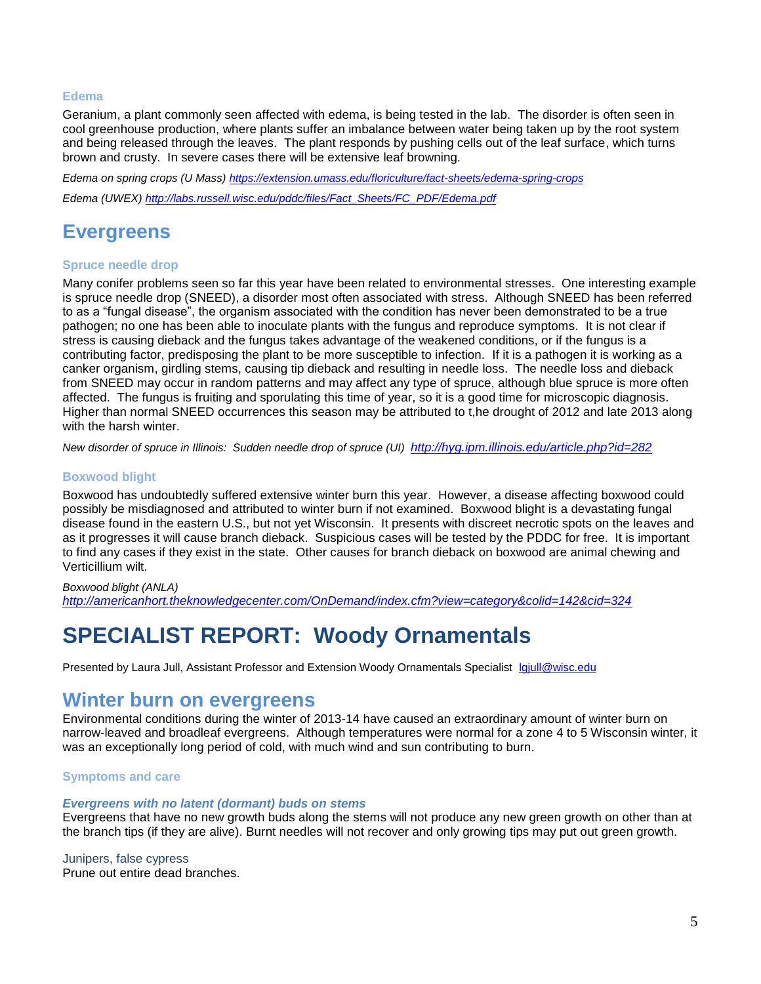#### **Edema**

Geranium, a plant commonly seen affected with edema, is being tested in the lab. The disorder is often seen in cool greenhouse production, where plants suffer an imbalance between water being taken up by the root system and being released through the leaves. The plant responds by pushing cells out of the leaf surface, which turns brown and crusty. In severe cases there will be extensive leaf browning.

*Edema on spring crops (U Mass)<https://extension.umass.edu/floriculture/fact-sheets/edema-spring-crops> Edema (UWEX) [http://labs.russell.wisc.edu/pddc/files/Fact\\_Sheets/FC\\_PDF/Edema.pdf](http://labs.russell.wisc.edu/pddc/files/Fact_Sheets/FC_PDF/Edema.pdf)*

## **Evergreens**

#### **Spruce needle drop**

Many conifer problems seen so far this year have been related to environmental stresses. One interesting example is spruce needle drop (SNEED), a disorder most often associated with stress. Although SNEED has been referred to as a "fungal disease", the organism associated with the condition has never been demonstrated to be a true pathogen; no one has been able to inoculate plants with the fungus and reproduce symptoms. It is not clear if stress is causing dieback and the fungus takes advantage of the weakened conditions, or if the fungus is a contributing factor, predisposing the plant to be more susceptible to infection. If it is a pathogen it is working as a canker organism, girdling stems, causing tip dieback and resulting in needle loss. The needle loss and dieback from SNEED may occur in random patterns and may affect any type of spruce, although blue spruce is more often affected. The fungus is fruiting and sporulating this time of year, so it is a good time for microscopic diagnosis. Higher than normal SNEED occurrences this season may be attributed to t,he drought of 2012 and late 2013 along with the harsh winter.

*New disorder of spruce in Illinois: Sudden needle drop of spruce (UI) <http://hyg.ipm.illinois.edu/article.php?id=282>*

#### **Boxwood blight**

Boxwood has undoubtedly suffered extensive winter burn this year. However, a disease affecting boxwood could possibly be misdiagnosed and attributed to winter burn if not examined. Boxwood blight is a devastating fungal disease found in the eastern U.S., but not yet Wisconsin. It presents with discreet necrotic spots on the leaves and as it progresses it will cause branch dieback. Suspicious cases will be tested by the PDDC for free. It is important to find any cases if they exist in the state. Other causes for branch dieback on boxwood are animal chewing and Verticillium wilt.

#### *Boxwood blight (ANLA)*

*<http://americanhort.theknowledgecenter.com/OnDemand/index.cfm?view=category&colid=142&cid=324>*

## **SPECIALIST REPORT: Woody Ornamentals**

Presented by Laura Jull, Assistant Professor and Extension Woody Ornamentals Specialist [lgjull@wisc.edu](mailto:lgjull@wisc.edu)

### **Winter burn on evergreens**

Environmental conditions during the winter of 2013-14 have caused an extraordinary amount of winter burn on narrow-leaved and broadleaf evergreens. Although temperatures were normal for a zone 4 to 5 Wisconsin winter, it was an exceptionally long period of cold, with much wind and sun contributing to burn.

#### **Symptoms and care**

#### *Evergreens with no latent (dormant) buds on stems*

Evergreens that have no new growth buds along the stems will not produce any new green growth on other than at the branch tips (if they are alive). Burnt needles will not recover and only growing tips may put out green growth.

Junipers, false cypress Prune out entire dead branches.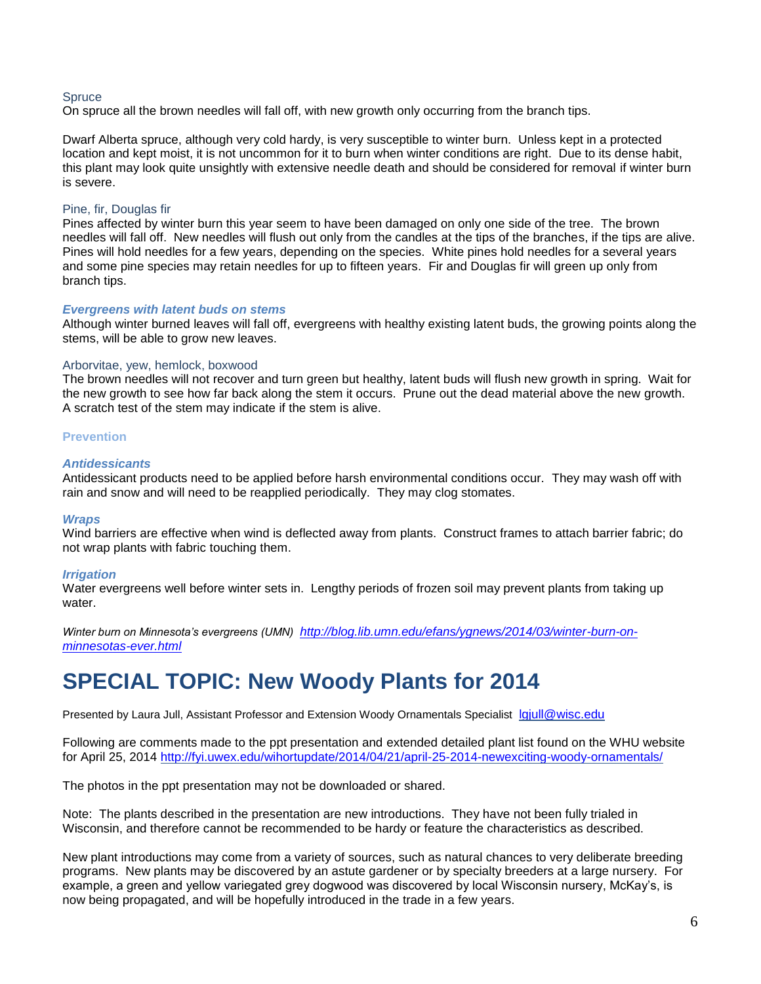#### **Spruce**

On spruce all the brown needles will fall off, with new growth only occurring from the branch tips.

Dwarf Alberta spruce, although very cold hardy, is very susceptible to winter burn. Unless kept in a protected location and kept moist, it is not uncommon for it to burn when winter conditions are right. Due to its dense habit, this plant may look quite unsightly with extensive needle death and should be considered for removal if winter burn is severe.

#### Pine, fir, Douglas fir

Pines affected by winter burn this year seem to have been damaged on only one side of the tree. The brown needles will fall off. New needles will flush out only from the candles at the tips of the branches, if the tips are alive. Pines will hold needles for a few years, depending on the species. White pines hold needles for a several years and some pine species may retain needles for up to fifteen years. Fir and Douglas fir will green up only from branch tips.

#### *Evergreens with latent buds on stems*

Although winter burned leaves will fall off, evergreens with healthy existing latent buds, the growing points along the stems, will be able to grow new leaves.

#### Arborvitae, yew, hemlock, boxwood

The brown needles will not recover and turn green but healthy, latent buds will flush new growth in spring. Wait for the new growth to see how far back along the stem it occurs. Prune out the dead material above the new growth. A scratch test of the stem may indicate if the stem is alive.

#### **Prevention**

#### *Antidessicants*

Antidessicant products need to be applied before harsh environmental conditions occur. They may wash off with rain and snow and will need to be reapplied periodically. They may clog stomates.

#### *Wraps*

Wind barriers are effective when wind is deflected away from plants. Construct frames to attach barrier fabric; do not wrap plants with fabric touching them.

#### *Irrigation*

Water evergreens well before winter sets in. Lengthy periods of frozen soil may prevent plants from taking up water.

*Winter burn on Minnesota's evergreens (UMN) [http://blog.lib.umn.edu/efans/ygnews/2014/03/winter-burn-on](http://blog.lib.umn.edu/efans/ygnews/2014/03/winter-burn-on-minnesotas-ever.html)[minnesotas-ever.html](http://blog.lib.umn.edu/efans/ygnews/2014/03/winter-burn-on-minnesotas-ever.html)*

## **SPECIAL TOPIC: New Woody Plants for 2014**

Presented by Laura Jull, Assistant Professor and Extension Woody Ornamentals Specialist [lgjull@wisc.edu](mailto:lgjull@wisc.edu)

Following are comments made to the ppt presentation and extended detailed plant list found on the WHU website for April 25, 2014<http://fyi.uwex.edu/wihortupdate/2014/04/21/april-25-2014-newexciting-woody-ornamentals/>

The photos in the ppt presentation may not be downloaded or shared.

Note: The plants described in the presentation are new introductions. They have not been fully trialed in Wisconsin, and therefore cannot be recommended to be hardy or feature the characteristics as described.

New plant introductions may come from a variety of sources, such as natural chances to very deliberate breeding programs. New plants may be discovered by an astute gardener or by specialty breeders at a large nursery. For example, a green and yellow variegated grey dogwood was discovered by local Wisconsin nursery, McKay's, is now being propagated, and will be hopefully introduced in the trade in a few years.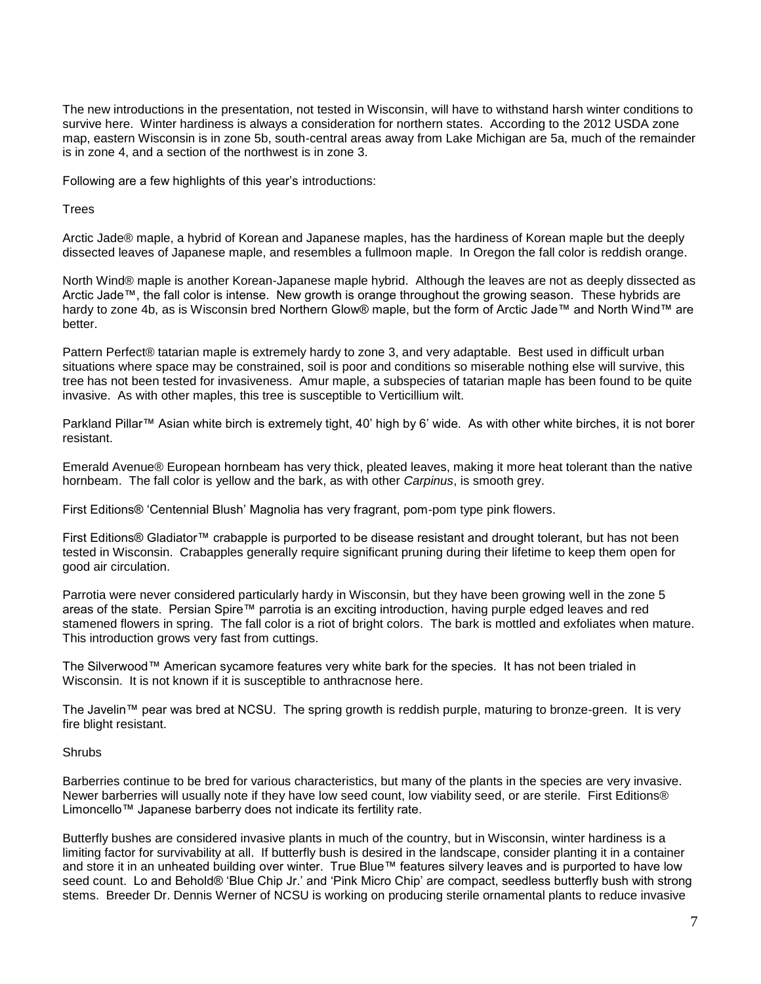The new introductions in the presentation, not tested in Wisconsin, will have to withstand harsh winter conditions to survive here. Winter hardiness is always a consideration for northern states. According to the 2012 USDA zone map, eastern Wisconsin is in zone 5b, south-central areas away from Lake Michigan are 5a, much of the remainder is in zone 4, and a section of the northwest is in zone 3.

Following are a few highlights of this year's introductions:

Trees

Arctic Jade® maple, a hybrid of Korean and Japanese maples, has the hardiness of Korean maple but the deeply dissected leaves of Japanese maple, and resembles a fullmoon maple. In Oregon the fall color is reddish orange.

North Wind® maple is another Korean-Japanese maple hybrid. Although the leaves are not as deeply dissected as Arctic Jade™, the fall color is intense. New growth is orange throughout the growing season. These hybrids are hardy to zone 4b, as is Wisconsin bred Northern Glow® maple, but the form of Arctic Jade™ and North Wind™ are better.

Pattern Perfect® tatarian maple is extremely hardy to zone 3, and very adaptable. Best used in difficult urban situations where space may be constrained, soil is poor and conditions so miserable nothing else will survive, this tree has not been tested for invasiveness. Amur maple, a subspecies of tatarian maple has been found to be quite invasive. As with other maples, this tree is susceptible to Verticillium wilt.

Parkland Pillar™ Asian white birch is extremely tight, 40' high by 6' wide. As with other white birches, it is not borer resistant.

Emerald Avenue® European hornbeam has very thick, pleated leaves, making it more heat tolerant than the native hornbeam. The fall color is yellow and the bark, as with other *Carpinus*, is smooth grey.

First Editions® 'Centennial Blush' Magnolia has very fragrant, pom-pom type pink flowers.

First Editions® Gladiator™ crabapple is purported to be disease resistant and drought tolerant, but has not been tested in Wisconsin. Crabapples generally require significant pruning during their lifetime to keep them open for good air circulation.

Parrotia were never considered particularly hardy in Wisconsin, but they have been growing well in the zone 5 areas of the state. Persian Spire™ parrotia is an exciting introduction, having purple edged leaves and red stamened flowers in spring. The fall color is a riot of bright colors. The bark is mottled and exfoliates when mature. This introduction grows very fast from cuttings.

The Silverwood™ American sycamore features very white bark for the species. It has not been trialed in Wisconsin. It is not known if it is susceptible to anthracnose here.

The Javelin™ pear was bred at NCSU. The spring growth is reddish purple, maturing to bronze-green. It is very fire blight resistant.

#### **Shrubs**

Barberries continue to be bred for various characteristics, but many of the plants in the species are very invasive. Newer barberries will usually note if they have low seed count, low viability seed, or are sterile. First Editions® Limoncello™ Japanese barberry does not indicate its fertility rate.

Butterfly bushes are considered invasive plants in much of the country, but in Wisconsin, winter hardiness is a limiting factor for survivability at all. If butterfly bush is desired in the landscape, consider planting it in a container and store it in an unheated building over winter. True Blue™ features silvery leaves and is purported to have low seed count. Lo and Behold® 'Blue Chip Jr.' and 'Pink Micro Chip' are compact, seedless butterfly bush with strong stems. Breeder Dr. Dennis Werner of NCSU is working on producing sterile ornamental plants to reduce invasive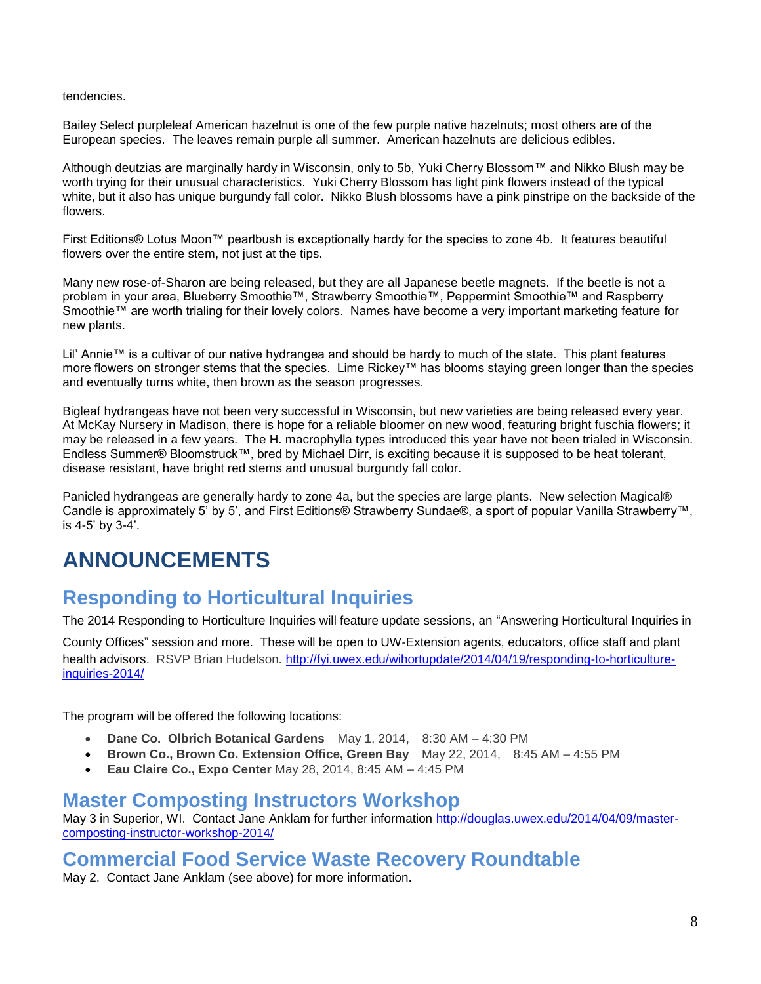#### tendencies.

Bailey Select purpleleaf American hazelnut is one of the few purple native hazelnuts; most others are of the European species. The leaves remain purple all summer. American hazelnuts are delicious edibles.

Although deutzias are marginally hardy in Wisconsin, only to 5b, Yuki Cherry Blossom™ and Nikko Blush may be worth trying for their unusual characteristics. Yuki Cherry Blossom has light pink flowers instead of the typical white, but it also has unique burgundy fall color. Nikko Blush blossoms have a pink pinstripe on the backside of the flowers.

First Editions® Lotus Moon™ pearlbush is exceptionally hardy for the species to zone 4b. It features beautiful flowers over the entire stem, not just at the tips.

Many new rose-of-Sharon are being released, but they are all Japanese beetle magnets. If the beetle is not a problem in your area, Blueberry Smoothie™, Strawberry Smoothie™, Peppermint Smoothie™ and Raspberry Smoothie™ are worth trialing for their lovely colors. Names have become a very important marketing feature for new plants.

Lil' Annie™ is a cultivar of our native hydrangea and should be hardy to much of the state. This plant features more flowers on stronger stems that the species. Lime Rickey™ has blooms staying green longer than the species and eventually turns white, then brown as the season progresses.

Bigleaf hydrangeas have not been very successful in Wisconsin, but new varieties are being released every year. At McKay Nursery in Madison, there is hope for a reliable bloomer on new wood, featuring bright fuschia flowers; it may be released in a few years. The H. macrophylla types introduced this year have not been trialed in Wisconsin. Endless Summer® Bloomstruck™, bred by Michael Dirr, is exciting because it is supposed to be heat tolerant, disease resistant, have bright red stems and unusual burgundy fall color.

Panicled hydrangeas are generally hardy to zone 4a, but the species are large plants. New selection Magical® Candle is approximately 5' by 5', and First Editions® Strawberry Sundae®, a sport of popular Vanilla Strawberry™, is 4-5' by 3-4'.

## **ANNOUNCEMENTS**

## **Responding to Horticultural Inquiries**

The 2014 Responding to Horticulture Inquiries will feature update sessions, an "Answering Horticultural Inquiries in

County Offices" session and more. These will be open to UW-Extension agents, educators, office staff and plant health advisors. RSVP Brian Hudelson. [http://fyi.uwex.edu/wihortupdate/2014/04/19/responding-to-horticulture](http://fyi.uwex.edu/wihortupdate/2014/04/19/responding-to-horticulture-inquiries-2014/)[inquiries-2014/](http://fyi.uwex.edu/wihortupdate/2014/04/19/responding-to-horticulture-inquiries-2014/)

The program will be offered the following locations:

- **Dane Co. Olbrich Botanical Gardens**  May 1, 2014, 8:30 AM 4:30 PM
- **Brown Co., Brown Co. Extension Office, Green Bay** May 22, 2014, 8:45 AM 4:55 PM
- **Eau Claire Co., Expo Center** May 28, 2014, 8:45 AM 4:45 PM

### **Master Composting Instructors Workshop**

May 3 in Superior, WI. Contact Jane Anklam for further information [http://douglas.uwex.edu/2014/04/09/master](http://douglas.uwex.edu/2014/04/09/master-composting-instructor-workshop-2014/)[composting-instructor-workshop-2014/](http://douglas.uwex.edu/2014/04/09/master-composting-instructor-workshop-2014/)

## **Commercial Food Service Waste Recovery Roundtable**

May 2. Contact Jane Anklam (see above) for more information.